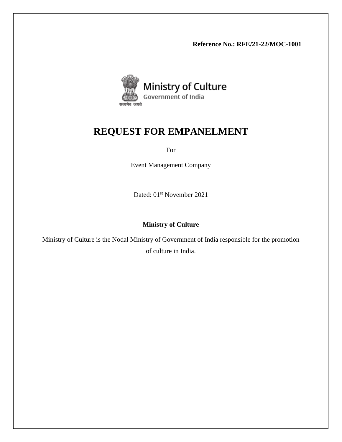**Reference No.: RFE/21-22/MOC-1001**



# **REQUEST FOR EMPANELMENT**

For

Event Management Company

Dated: 01<sup>st</sup> November 2021

# **Ministry of Culture**

Ministry of Culture is the Nodal Ministry of Government of India responsible for the promotion of culture in India.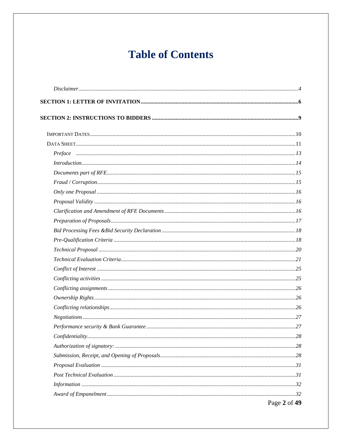# **Table of Contents**

| Introduction 14 |                                                 |
|-----------------|-------------------------------------------------|
|                 |                                                 |
|                 |                                                 |
|                 |                                                 |
|                 |                                                 |
|                 |                                                 |
|                 |                                                 |
|                 |                                                 |
|                 |                                                 |
|                 |                                                 |
|                 |                                                 |
|                 |                                                 |
|                 |                                                 |
|                 |                                                 |
|                 |                                                 |
|                 |                                                 |
|                 |                                                 |
|                 |                                                 |
|                 |                                                 |
|                 |                                                 |
|                 |                                                 |
|                 |                                                 |
|                 |                                                 |
|                 |                                                 |
|                 |                                                 |
|                 | $D_{\text{max}} \Omega_{\text{eff}} f A \Omega$ |

Page 2 of 49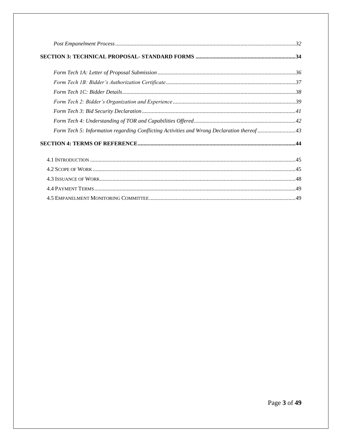| Form Tech 5: Information regarding Conflicting Activities and Wrong Declaration thereof43 |  |
|-------------------------------------------------------------------------------------------|--|
|                                                                                           |  |
|                                                                                           |  |
|                                                                                           |  |
|                                                                                           |  |
|                                                                                           |  |
|                                                                                           |  |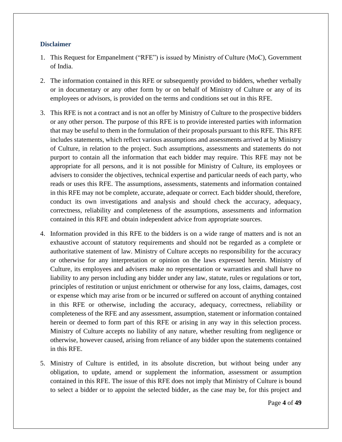#### <span id="page-3-0"></span>**Disclaimer**

- 1. This Request for Empanelment ("RFE") is issued by Ministry of Culture (MoC), Government of India.
- 2. The information contained in this RFE or subsequently provided to bidders, whether verbally or in documentary or any other form by or on behalf of Ministry of Culture or any of its employees or advisors, is provided on the terms and conditions set out in this RFE.
- 3. This RFE is not a contract and is not an offer by Ministry of Culture to the prospective bidders or any other person. The purpose of this RFE is to provide interested parties with information that may be useful to them in the formulation of their proposals pursuant to this RFE. This RFE includes statements, which reflect various assumptions and assessments arrived at by Ministry of Culture, in relation to the project. Such assumptions, assessments and statements do not purport to contain all the information that each bidder may require. This RFE may not be appropriate for all persons, and it is not possible for Ministry of Culture, its employees or advisers to consider the objectives, technical expertise and particular needs of each party, who reads or uses this RFE. The assumptions, assessments, statements and information contained in this RFE may not be complete, accurate, adequate or correct. Each bidder should, therefore, conduct its own investigations and analysis and should check the accuracy, adequacy, correctness, reliability and completeness of the assumptions, assessments and information contained in this RFE and obtain independent advice from appropriate sources.
- 4. Information provided in this RFE to the bidders is on a wide range of matters and is not an exhaustive account of statutory requirements and should not be regarded as a complete or authoritative statement of law. Ministry of Culture accepts no responsibility for the accuracy or otherwise for any interpretation or opinion on the laws expressed herein. Ministry of Culture, its employees and advisers make no representation or warranties and shall have no liability to any person including any bidder under any law, statute, rules or regulations or tort, principles of restitution or unjust enrichment or otherwise for any loss, claims, damages, cost or expense which may arise from or be incurred or suffered on account of anything contained in this RFE or otherwise, including the accuracy, adequacy, correctness, reliability or completeness of the RFE and any assessment, assumption, statement or information contained herein or deemed to form part of this RFE or arising in any way in this selection process. Ministry of Culture accepts no liability of any nature, whether resulting from negligence or otherwise, however caused, arising from reliance of any bidder upon the statements contained in this RFE.
- 5. Ministry of Culture is entitled, in its absolute discretion, but without being under any obligation, to update, amend or supplement the information, assessment or assumption contained in this RFE. The issue of this RFE does not imply that Ministry of Culture is bound to select a bidder or to appoint the selected bidder, as the case may be, for this project and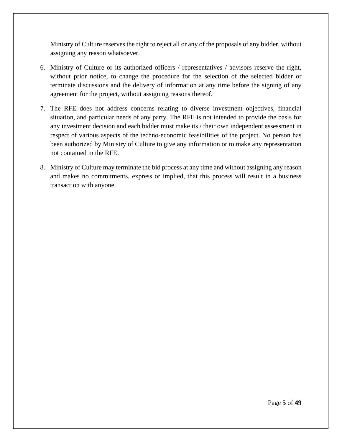Ministry of Culture reserves the right to reject all or any of the proposals of any bidder, without assigning any reason whatsoever.

- 6. Ministry of Culture or its authorized officers / representatives / advisors reserve the right, without prior notice, to change the procedure for the selection of the selected bidder or terminate discussions and the delivery of information at any time before the signing of any agreement for the project, without assigning reasons thereof.
- 7. The RFE does not address concerns relating to diverse investment objectives, financial situation, and particular needs of any party. The RFE is not intended to provide the basis for any investment decision and each bidder must make its / their own independent assessment in respect of various aspects of the techno-economic feasibilities of the project. No person has been authorized by Ministry of Culture to give any information or to make any representation not contained in the RFE.
- 8. Ministry of Culture may terminate the bid process at any time and without assigning any reason and makes no commitments, express or implied, that this process will result in a business transaction with anyone.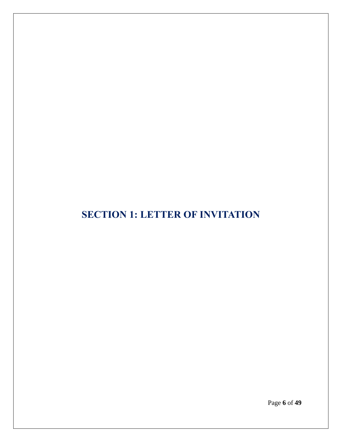# <span id="page-5-0"></span>**SECTION 1: LETTER OF INVITATION**

Page **6** of **49**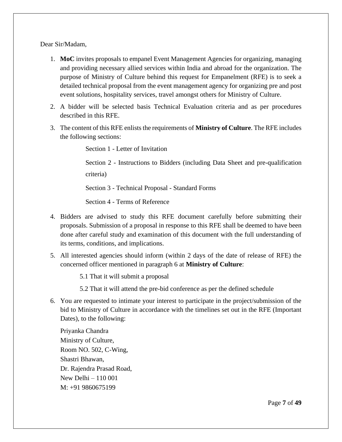Dear Sir/Madam,

- 1. **MoC** invites proposals to empanel Event Management Agencies for organizing, managing and providing necessary allied services within India and abroad for the organization. The purpose of Ministry of Culture behind this request for Empanelment (RFE) is to seek a detailed technical proposal from the event management agency for organizing pre and post event solutions, hospitality services, travel amongst others for Ministry of Culture.
- 2. A bidder will be selected basis Technical Evaluation criteria and as per procedures described in this RFE.
- 3. The content of this RFE enlists the requirements of **Ministry of Culture**. The RFE includes the following sections:

Section 1 - Letter of Invitation

Section 2 - Instructions to Bidders (including Data Sheet and pre-qualification criteria)

Section 3 - Technical Proposal - Standard Forms

Section 4 - Terms of Reference

- 4. Bidders are advised to study this RFE document carefully before submitting their proposals. Submission of a proposal in response to this RFE shall be deemed to have been done after careful study and examination of this document with the full understanding of its terms, conditions, and implications.
- 5. All interested agencies should inform (within 2 days of the date of release of RFE) the concerned officer mentioned in paragraph 6 at **Ministry of Culture**:

5.1 That it will submit a proposal

- 5.2 That it will attend the pre-bid conference as per the defined schedule
- 6. You are requested to intimate your interest to participate in the project/submission of the bid to Ministry of Culture in accordance with the timelines set out in the RFE (Important Dates), to the following:

Priyanka Chandra Ministry of Culture, Room NO. 502, C-Wing, Shastri Bhawan, Dr. Rajendra Prasad Road, New Delhi – 110 001 M: +91 9860675199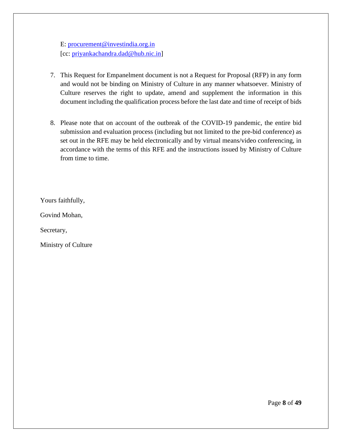E: [procurement@investindia.org.in](mailto:procurement@investindia.org.in) [cc: [priyankachandra.dad@hub.nic.in\]](mailto:priyankachandra.dad@hub.nic.in)

- 7. This Request for Empanelment document is not a Request for Proposal (RFP) in any form and would not be binding on Ministry of Culture in any manner whatsoever. Ministry of Culture reserves the right to update, amend and supplement the information in this document including the qualification process before the last date and time of receipt of bids
- 8. Please note that on account of the outbreak of the COVID-19 pandemic, the entire bid submission and evaluation process (including but not limited to the pre-bid conference) as set out in the RFE may be held electronically and by virtual means/video conferencing, in accordance with the terms of this RFE and the instructions issued by Ministry of Culture from time to time.

Yours faithfully,

Govind Mohan,

Secretary,

Ministry of Culture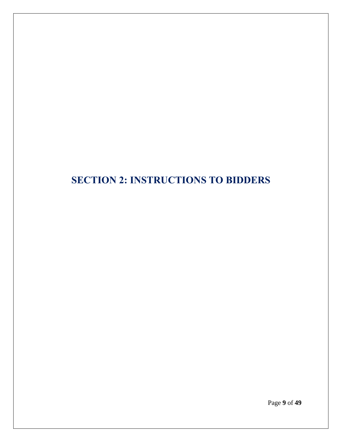# <span id="page-8-0"></span>**SECTION 2: INSTRUCTIONS TO BIDDERS**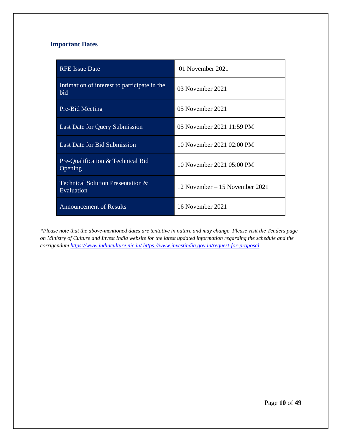# <span id="page-9-0"></span>**Important Dates**

| <b>RFE Issue Date</b>                               | 01 November 2021                |
|-----------------------------------------------------|---------------------------------|
| Intimation of interest to participate in the<br>bid | 03 November 2021                |
| Pre-Bid Meeting                                     | 05 November 2021                |
| Last Date for Query Submission                      | 05 November 2021 11:59 PM       |
| <b>Last Date for Bid Submission</b>                 | 10 November 2021 02:00 PM       |
| Pre-Qualification & Technical Bid<br>Opening        | 10 November 2021 05:00 PM       |
| Technical Solution Presentation &<br>Evaluation     | 12 November $-15$ November 2021 |
| <b>Announcement of Results</b>                      | 16 November 2021                |

*\*Please note that the above-mentioned dates are tentative in nature and may change. Please visit the Tenders page on Ministry of Culture and Invest India website for the latest updated information regarding the schedule and the corrigendum <https://www.indiaculture.nic.in/> <https://www.investindia.gov.in/request-for-proposal>*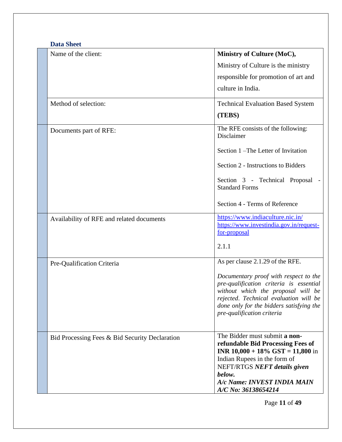<span id="page-10-0"></span>

| Name of the client:                            | Ministry of Culture (MoC),                                                    |
|------------------------------------------------|-------------------------------------------------------------------------------|
|                                                | Ministry of Culture is the ministry                                           |
|                                                | responsible for promotion of art and                                          |
|                                                | culture in India.                                                             |
| Method of selection:                           | <b>Technical Evaluation Based System</b>                                      |
|                                                | (TEBS)                                                                        |
| Documents part of RFE:                         | The RFE consists of the following:<br>Disclaimer                              |
|                                                | Section 1 - The Letter of Invitation                                          |
|                                                | Section 2 - Instructions to Bidders                                           |
|                                                | Section 3 - Technical Proposal<br><b>Standard Forms</b>                       |
|                                                | Section 4 - Terms of Reference                                                |
| Availability of RFE and related documents      | https://www.indiaculture.nic.in/                                              |
|                                                | https://www.investindia.gov.in/request-<br>for-proposal                       |
|                                                | 2.1.1                                                                         |
| Pre-Qualification Criteria                     | As per clause 2.1.29 of the RFE.                                              |
|                                                | Documentary proof with respect to the                                         |
|                                                | pre-qualification criteria is essential<br>without which the proposal will be |
|                                                | rejected. Technical evaluation will be                                        |
|                                                | done only for the bidders satisfying the<br>pre-qualification criteria        |
|                                                |                                                                               |
| Bid Processing Fees & Bid Security Declaration | The Bidder must submit a non-                                                 |
|                                                | refundable Bid Processing Fees of<br><b>INR 10,000 + 18% GST = 11,800 in</b>  |
|                                                | Indian Rupees in the form of                                                  |
|                                                | NEFT/RTGS NEFT details given<br>below.                                        |
|                                                | A/c Name: INVEST INDIA MAIN                                                   |
|                                                | A/C No: 36138654214                                                           |

Page **11** of **49**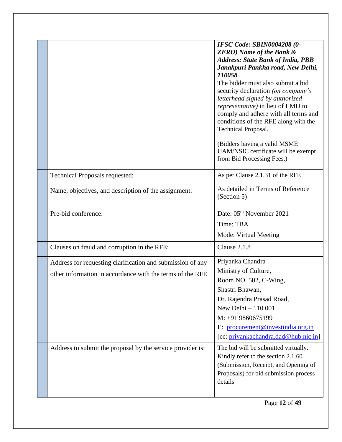|                                                            | IFSC Code: SBIN0004208 (0-<br><b>ZERO)</b> Name of the Bank &<br><b>Address: State Bank of India, PBB</b><br>Janakpuri Pankha road, New Delhi,<br>110058<br>The bidder must also submit a bid<br>security declaration (on company's<br>letterhead signed by authorized<br>representative) in lieu of EMD to<br>comply and adhere with all terms and<br>conditions of the RFE along with the<br>Technical Proposal.<br>(Bidders having a valid MSME<br>UAM/NSIC certificate will be exempt<br>from Bid Processing Fees.) |
|------------------------------------------------------------|-------------------------------------------------------------------------------------------------------------------------------------------------------------------------------------------------------------------------------------------------------------------------------------------------------------------------------------------------------------------------------------------------------------------------------------------------------------------------------------------------------------------------|
| Technical Proposals requested:                             | As per Clause 2.1.31 of the RFE                                                                                                                                                                                                                                                                                                                                                                                                                                                                                         |
| Name, objectives, and description of the assignment:       | As detailed in Terms of Reference<br>(Section 5)                                                                                                                                                                                                                                                                                                                                                                                                                                                                        |
| Pre-bid conference:                                        | Date: 05 <sup>th</sup> November 2021                                                                                                                                                                                                                                                                                                                                                                                                                                                                                    |
|                                                            | Time: TBA                                                                                                                                                                                                                                                                                                                                                                                                                                                                                                               |
|                                                            | Mode: Virtual Meeting                                                                                                                                                                                                                                                                                                                                                                                                                                                                                                   |
| Clauses on fraud and corruption in the RFE:                | Clause 2.1.8                                                                                                                                                                                                                                                                                                                                                                                                                                                                                                            |
| Address for requesting clarification and submission of any | Priyanka Chandra                                                                                                                                                                                                                                                                                                                                                                                                                                                                                                        |
| other information in accordance with the terms of the RFE  | Ministry of Culture,                                                                                                                                                                                                                                                                                                                                                                                                                                                                                                    |
|                                                            | Room NO. 502, C-Wing,                                                                                                                                                                                                                                                                                                                                                                                                                                                                                                   |
|                                                            | Shastri Bhawan,                                                                                                                                                                                                                                                                                                                                                                                                                                                                                                         |
|                                                            | Dr. Rajendra Prasad Road,                                                                                                                                                                                                                                                                                                                                                                                                                                                                                               |
|                                                            | New Delhi $-110001$<br>M: +91 9860675199                                                                                                                                                                                                                                                                                                                                                                                                                                                                                |
|                                                            | E: procurement@investindia.org.in                                                                                                                                                                                                                                                                                                                                                                                                                                                                                       |
|                                                            | [cc: priyankachandra.dad@hub.nic.in]                                                                                                                                                                                                                                                                                                                                                                                                                                                                                    |
| Address to submit the proposal by the service provider is: | The bid will be submitted virtually.<br>Kindly refer to the section 2.1.60<br>(Submission, Receipt, and Opening of<br>Proposals) for bid submission process<br>details                                                                                                                                                                                                                                                                                                                                                  |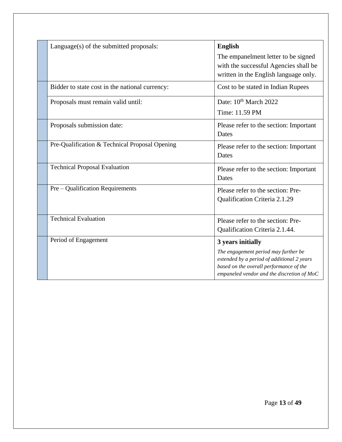<span id="page-12-0"></span>

| Language(s) of the submitted proposals:        | <b>English</b>                                                                                                                                                                |
|------------------------------------------------|-------------------------------------------------------------------------------------------------------------------------------------------------------------------------------|
|                                                | The empanelment letter to be signed<br>with the successful Agencies shall be                                                                                                  |
|                                                | written in the English language only.                                                                                                                                         |
| Bidder to state cost in the national currency: | Cost to be stated in Indian Rupees                                                                                                                                            |
| Proposals must remain valid until:             | Date: 10 <sup>th</sup> March 2022                                                                                                                                             |
|                                                | Time: 11.59 PM                                                                                                                                                                |
| Proposals submission date:                     | Please refer to the section: Important                                                                                                                                        |
|                                                | Dates                                                                                                                                                                         |
| Pre-Qualification & Technical Proposal Opening | Please refer to the section: Important                                                                                                                                        |
|                                                | Dates                                                                                                                                                                         |
| <b>Technical Proposal Evaluation</b>           | Please refer to the section: Important                                                                                                                                        |
|                                                | Dates                                                                                                                                                                         |
| Pre – Qualification Requirements               | Please refer to the section: Pre-                                                                                                                                             |
|                                                | Qualification Criteria 2.1.29                                                                                                                                                 |
|                                                |                                                                                                                                                                               |
| <b>Technical Evaluation</b>                    | Please refer to the section: Pre-                                                                                                                                             |
|                                                | Qualification Criteria 2.1.44.                                                                                                                                                |
| Period of Engagement                           | 3 years initially                                                                                                                                                             |
|                                                | The engagement period may further be<br>extended by a period of additional 2 years<br>based on the overall performance of the<br>empaneled vendor and the discretion of $MoC$ |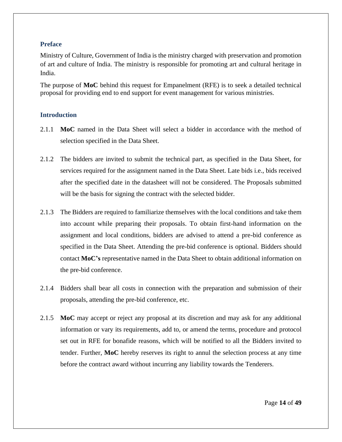#### **Preface**

Ministry of Culture, Government of India is the ministry charged with preservation and promotion of art and culture of India. The ministry is responsible for promoting art and cultural heritage in India.

The purpose of **MoC** behind this request for Empanelment (RFE) is to seek a detailed technical proposal for providing end to end support for event management for various ministries.

#### <span id="page-13-0"></span>**Introduction**

- 2.1.1 **MoC** named in the Data Sheet will select a bidder in accordance with the method of selection specified in the Data Sheet.
- 2.1.2 The bidders are invited to submit the technical part, as specified in the Data Sheet, for services required for the assignment named in the Data Sheet. Late bids i.e., bids received after the specified date in the datasheet will not be considered. The Proposals submitted will be the basis for signing the contract with the selected bidder.
- 2.1.3 The Bidders are required to familiarize themselves with the local conditions and take them into account while preparing their proposals. To obtain first-hand information on the assignment and local conditions, bidders are advised to attend a pre-bid conference as specified in the Data Sheet. Attending the pre-bid conference is optional. Bidders should contact **MoC's** representative named in the Data Sheet to obtain additional information on the pre-bid conference.
- 2.1.4 Bidders shall bear all costs in connection with the preparation and submission of their proposals, attending the pre-bid conference, etc.
- 2.1.5 **MoC** may accept or reject any proposal at its discretion and may ask for any additional information or vary its requirements, add to, or amend the terms, procedure and protocol set out in RFE for bonafide reasons, which will be notified to all the Bidders invited to tender. Further, **MoC** hereby reserves its right to annul the selection process at any time before the contract award without incurring any liability towards the Tenderers.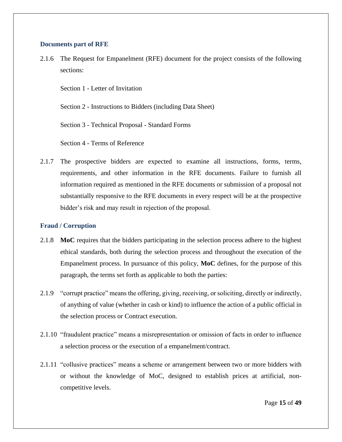#### <span id="page-14-0"></span>**Documents part of RFE**

2.1.6 The Request for Empanelment (RFE) document for the project consists of the following sections:

Section 1 - Letter of Invitation

Section 2 - Instructions to Bidders (including Data Sheet)

Section 3 - Technical Proposal - Standard Forms

Section 4 - Terms of Reference

2.1.7 The prospective bidders are expected to examine all instructions, forms, terms, requirements, and other information in the RFE documents. Failure to furnish all information required as mentioned in the RFE documents or submission of a proposal not substantially responsive to the RFE documents in every respect will be at the prospective bidder's risk and may result in rejection of the proposal.

#### <span id="page-14-1"></span>**Fraud / Corruption**

- 2.1.8 **MoC** requires that the bidders participating in the selection process adhere to the highest ethical standards, both during the selection process and throughout the execution of the Empanelment process. In pursuance of this policy, **MoC** defines, for the purpose of this paragraph, the terms set forth as applicable to both the parties:
- 2.1.9 "corrupt practice" means the offering, giving, receiving, or soliciting, directly or indirectly, of anything of value (whether in cash or kind) to influence the action of a public official in the selection process or Contract execution.
- 2.1.10 "fraudulent practice" means a misrepresentation or omission of facts in order to influence a selection process or the execution of a empanelment/contract.
- 2.1.11 "collusive practices" means a scheme or arrangement between two or more bidders with or without the knowledge of MoC, designed to establish prices at artificial, noncompetitive levels.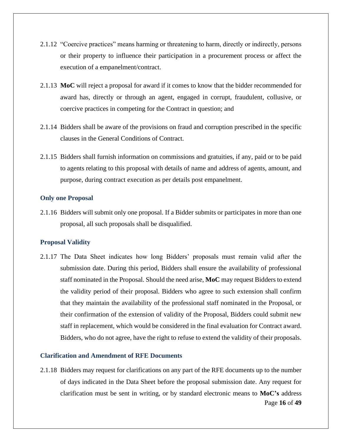- 2.1.12 "Coercive practices" means harming or threatening to harm, directly or indirectly, persons or their property to influence their participation in a procurement process or affect the execution of a empanelment/contract.
- 2.1.13 **MoC** will reject a proposal for award if it comes to know that the bidder recommended for award has, directly or through an agent, engaged in corrupt, fraudulent, collusive, or coercive practices in competing for the Contract in question; and
- 2.1.14 Bidders shall be aware of the provisions on fraud and corruption prescribed in the specific clauses in the General Conditions of Contract.
- 2.1.15 Bidders shall furnish information on commissions and gratuities, if any, paid or to be paid to agents relating to this proposal with details of name and address of agents, amount, and purpose, during contract execution as per details post empanelment.

#### <span id="page-15-0"></span>**Only one Proposal**

2.1.16 Bidders will submit only one proposal. If a Bidder submits or participates in more than one proposal, all such proposals shall be disqualified.

#### <span id="page-15-1"></span>**Proposal Validity**

2.1.17 The Data Sheet indicates how long Bidders' proposals must remain valid after the submission date. During this period, Bidders shall ensure the availability of professional staff nominated in the Proposal. Should the need arise, **MoC** may request Bidders to extend the validity period of their proposal. Bidders who agree to such extension shall confirm that they maintain the availability of the professional staff nominated in the Proposal, or their confirmation of the extension of validity of the Proposal, Bidders could submit new staff in replacement, which would be considered in the final evaluation for Contract award. Bidders, who do not agree, have the right to refuse to extend the validity of their proposals.

#### <span id="page-15-2"></span>**Clarification and Amendment of RFE Documents**

Page **16** of **49** 2.1.18 Bidders may request for clarifications on any part of the RFE documents up to the number of days indicated in the Data Sheet before the proposal submission date. Any request for clarification must be sent in writing, or by standard electronic means to **MoC's** address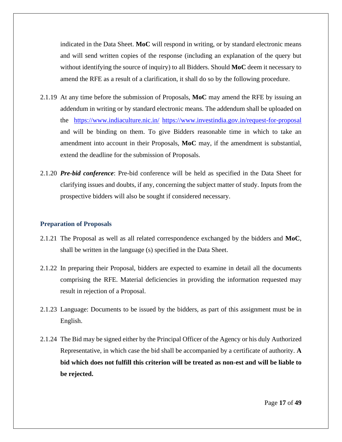indicated in the Data Sheet. **MoC** will respond in writing, or by standard electronic means and will send written copies of the response (including an explanation of the query but without identifying the source of inquiry) to all Bidders. Should **MoC** deem it necessary to amend the RFE as a result of a clarification, it shall do so by the following procedure.

- 2.1.19 At any time before the submission of Proposals, **MoC** may amend the RFE by issuing an addendum in writing or by standard electronic means. The addendum shall be uploaded on the <https://www.indiaculture.nic.in/> <https://www.investindia.gov.in/request-for-proposal> and will be binding on them. To give Bidders reasonable time in which to take an amendment into account in their Proposals, **MoC** may, if the amendment is substantial, extend the deadline for the submission of Proposals.
- 2.1.20 *Pre-bid conference*: Pre-bid conference will be held as specified in the Data Sheet for clarifying issues and doubts, if any, concerning the subject matter of study. Inputs from the prospective bidders will also be sought if considered necessary.

#### <span id="page-16-0"></span>**Preparation of Proposals**

- 2.1.21 The Proposal as well as all related correspondence exchanged by the bidders and **MoC**, shall be written in the language (s) specified in the Data Sheet.
- 2.1.22 In preparing their Proposal, bidders are expected to examine in detail all the documents comprising the RFE. Material deficiencies in providing the information requested may result in rejection of a Proposal.
- 2.1.23 Language: Documents to be issued by the bidders, as part of this assignment must be in English.
- 2.1.24 The Bid may be signed either by the Principal Officer of the Agency or his duly Authorized Representative, in which case the bid shall be accompanied by a certificate of authority. **A bid which does not fulfill this criterion will be treated as non-est and will be liable to be rejected.**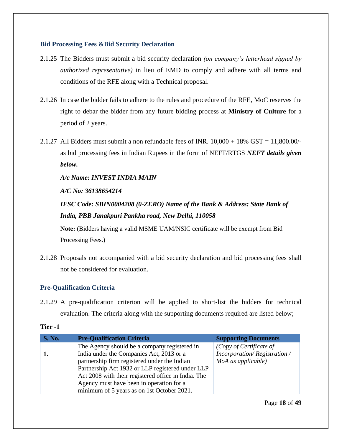#### <span id="page-17-0"></span>**Bid Processing Fees &Bid Security Declaration**

- 2.1.25 The Bidders must submit a bid security declaration *(on company's letterhead signed by authorized representative)* in lieu of EMD to comply and adhere with all terms and conditions of the RFE along with a Technical proposal.
- 2.1.26 In case the bidder fails to adhere to the rules and procedure of the RFE, MoC reserves the right to debar the bidder from any future bidding process at **Ministry of Culture** for a period of 2 years.
- 2.1.27 All Bidders must submit a non refundable fees of INR.  $10,000 + 18\%$  GST = 11,800.00/as bid processing fees in Indian Rupees in the form of NEFT/RTGS *NEFT details given below.*

*A/c Name: INVEST INDIA MAIN*

*A/C No: 36138654214* 

*IFSC Code: SBIN0004208 (0-ZERO) Name of the Bank & Address: State Bank of India, PBB Janakpuri Pankha road, New Delhi, 110058*

**Note:** (Bidders having a valid MSME UAM/NSIC certificate will be exempt from Bid Processing Fees.)

2.1.28 Proposals not accompanied with a bid security declaration and bid processing fees shall not be considered for evaluation.

# <span id="page-17-1"></span>**Pre-Qualification Criteria**

2.1.29 A pre-qualification criterion will be applied to short-list the bidders for technical evaluation. The criteria along with the supporting documents required are listed below;

| <b>S. No.</b> | <b>Pre-Qualification Criteria</b>                   | <b>Supporting Documents</b> |
|---------------|-----------------------------------------------------|-----------------------------|
|               | The Agency should be a company registered in        | (Copy of Certificate of     |
| ı.            | India under the Companies Act, 2013 or a            | Incorporation/Registration/ |
|               | partnership firm registered under the Indian        | MoA as applicable)          |
|               | Partnership Act 1932 or LLP registered under LLP    |                             |
|               | Act 2008 with their registered office in India. The |                             |
|               | Agency must have been in operation for a            |                             |
|               | minimum of 5 years as on 1st October 2021.          |                             |

### **Tier -1**

Page **18** of **49**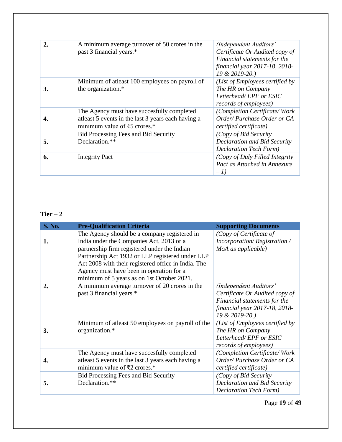|    | A minimum average turnover of 50 crores in the<br>past 3 financial years.*                                                        | (Independent Auditors'<br>Certificate Or Audited copy of<br>Financial statements for the<br>financial year 2017-18, 2018-<br>19 & 2019-20.) |
|----|-----------------------------------------------------------------------------------------------------------------------------------|---------------------------------------------------------------------------------------------------------------------------------------------|
| 3. | Minimum of atleast 100 employees on payroll of<br>the organization.*                                                              | (List of Employees certified by<br>The HR on Company<br>Letterhead/EPF or ESIC<br>records of employees)                                     |
| 4. | The Agency must have succesfully completed<br>at least 5 events in the last 3 years each having a<br>minimum value of ₹5 crores.* | (Completion Certificate/Work<br>Order/Purchase Order or CA<br><i>certified certificate</i> )                                                |
| 5. | Bid Processing Fees and Bid Security<br>Declaration.**                                                                            | (Copy of Bid Security)<br>Declaration and Bid Security<br><b>Declaration Tech Form)</b>                                                     |
| 6. | <b>Integrity Pact</b>                                                                                                             | (Copy of Duly Filled Integrity)<br>Pact as Attached in Annexure<br>$-1)$                                                                    |

# $Tier - 2$

| <b>S. No.</b> | <b>Pre-Qualification Criteria</b>                                                                                                                                                                                                                                                                                                             | <b>Supporting Documents</b>                                                                                                                 |
|---------------|-----------------------------------------------------------------------------------------------------------------------------------------------------------------------------------------------------------------------------------------------------------------------------------------------------------------------------------------------|---------------------------------------------------------------------------------------------------------------------------------------------|
| 1.            | The Agency should be a company registered in<br>India under the Companies Act, 2013 or a<br>partnership firm registered under the Indian<br>Partnership Act 1932 or LLP registered under LLP<br>Act 2008 with their registered office in India. The<br>Agency must have been in operation for a<br>minimum of 5 years as on 1st October 2021. | (Copy of Certificate of<br>Incorporation/Registration/<br>MoA as applicable)                                                                |
| 2.            | A minimum average turnover of 20 crores in the<br>past 3 financial years.*                                                                                                                                                                                                                                                                    | (Independent Auditors'<br>Certificate Or Audited copy of<br>Financial statements for the<br>financial year 2017-18, 2018-<br>19 & 2019-20.) |
| 3.            | Minimum of atleast 50 employees on payroll of the<br>organization.*                                                                                                                                                                                                                                                                           | (List of Employees certified by<br>The HR on Company<br>Letterhead/EPF or ESIC<br>records of employees)                                     |
| 4.            | The Agency must have succesfully completed<br>at least 5 events in the last 3 years each having a<br>minimum value of $\overline{52}$ crores.*                                                                                                                                                                                                | (Completion Certificate/Work<br>Order/Purchase Order or CA<br>certified certificate)                                                        |
| 5.            | <b>Bid Processing Fees and Bid Security</b><br>Declaration.**                                                                                                                                                                                                                                                                                 | (Copy of Bid Security<br>Declaration and Bid Security<br><b>Declaration Tech Form)</b>                                                      |

Page **19** of **49**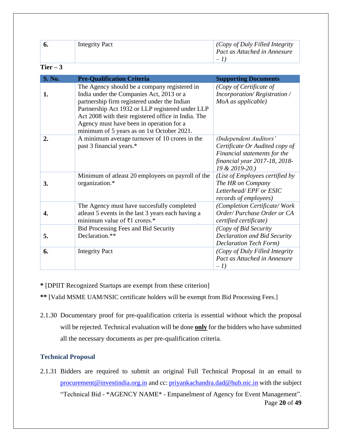| 6.            | <b>Integrity Pact</b>                                                                                                                                                                                                                                                                                                                         | (Copy of Duly Filled Integrity<br>Pact as Attached in Annexure<br>$-1$                                                                      |
|---------------|-----------------------------------------------------------------------------------------------------------------------------------------------------------------------------------------------------------------------------------------------------------------------------------------------------------------------------------------------|---------------------------------------------------------------------------------------------------------------------------------------------|
| Tier $-3$     |                                                                                                                                                                                                                                                                                                                                               |                                                                                                                                             |
| <b>S. No.</b> | <b>Pre-Qualification Criteria</b>                                                                                                                                                                                                                                                                                                             | <b>Supporting Documents</b>                                                                                                                 |
| 1.            | The Agency should be a company registered in<br>India under the Companies Act, 2013 or a<br>partnership firm registered under the Indian<br>Partnership Act 1932 or LLP registered under LLP<br>Act 2008 with their registered office in India. The<br>Agency must have been in operation for a<br>minimum of 5 years as on 1st October 2021. | (Copy of Certificate of<br>Incorporation/Registration/<br>MoA as applicable)                                                                |
| 2.            | A minimum average turnover of 10 crores in the<br>past 3 financial years.*                                                                                                                                                                                                                                                                    | (Independent Auditors'<br>Certificate Or Audited copy of<br>Financial statements for the<br>financial year 2017-18, 2018-<br>19 & 2019-20.) |
| 3.            | Minimum of atleast 20 employees on payroll of the<br>organization.*                                                                                                                                                                                                                                                                           | (List of Employees certified by<br>The HR on Company<br>Letterhead/EPF or ESIC<br>records of employees)                                     |
| 4.            | The Agency must have succesfully completed<br>at least 5 events in the last 3 years each having a<br>minimum value of ₹1 crores.*                                                                                                                                                                                                             | (Completion Certificate/Work<br>Order/Purchase Order or CA<br>certified certificate)                                                        |
| 5.            | Bid Processing Fees and Bid Security<br>Declaration.**                                                                                                                                                                                                                                                                                        | (Copy of Bid Security<br><b>Declaration and Bid Security</b><br><b>Declaration Tech Form)</b>                                               |
| 6.            | <b>Integrity Pact</b>                                                                                                                                                                                                                                                                                                                         | (Copy of Duly Filled Integrity<br>Pact as Attached in Annexure<br>$-1)$                                                                     |

**\*** [DPIIT Recognized Startups are exempt from these criterion]

**\*\*** [Valid MSME UAM/NSIC certificate holders will be exempt from Bid Processing Fees.]

2.1.30 Documentary proof for pre-qualification criteria is essential without which the proposal will be rejected. Technical evaluation will be done **only** for the bidders who have submitted all the necessary documents as per pre-qualification criteria.

# <span id="page-19-0"></span>**Technical Proposal**

Page **20** of **49** 2.1.31 Bidders are required to submit an original Full Technical Proposal in an email to [procurement@investindia.org.in](mailto:procurement@investindia.org.in) and cc: [priyankachandra.dad@hub.nic.in](mailto:priyankachandra.dad@hub.nic.in) with the subject "Technical Bid - \*AGENCY NAME\* - Empanelment of Agency for Event Management".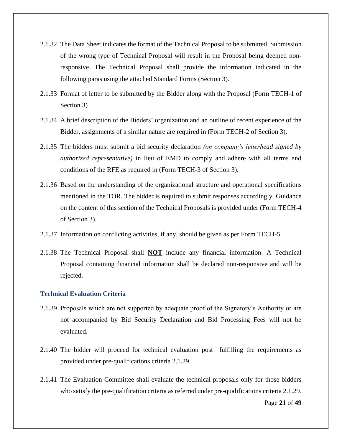- 2.1.32 The Data Sheet indicates the format of the Technical Proposal to be submitted. Submission of the wrong type of Technical Proposal will result in the Proposal being deemed nonresponsive. The Technical Proposal shall provide the information indicated in the following paras using the attached Standard Forms (Section 3).
- 2.1.33 Format of letter to be submitted by the Bidder along with the Proposal (Form TECH-1 of Section 3)
- 2.1.34 A brief description of the Bidders' organization and an outline of recent experience of the Bidder, assignments of a similar nature are required in (Form TECH-2 of Section 3).
- 2.1.35 The bidders must submit a bid security declaration *(on company's letterhead signed by authorized representative)* in lieu of EMD to comply and adhere with all terms and conditions of the RFE as required in (Form TECH-3 of Section 3).
- 2.1.36 Based on the understanding of the organizational structure and operational specifications mentioned in the TOR. The bidder is required to submit responses accordingly. Guidance on the content of this section of the Technical Proposals is provided under (Form TECH-4 of Section 3).
- 2.1.37 Information on conflicting activities, if any, should be given as per Form TECH-5.
- 2.1.38 The Technical Proposal shall **NOT** include any financial information. A Technical Proposal containing financial information shall be declared non-responsive and will be rejected.

#### <span id="page-20-0"></span>**Technical Evaluation Criteria**

- 2.1.39 Proposals which are not supported by adequate proof of the Signatory's Authority or are not accompanied by Bid Security Declaration and Bid Processing Fees will not be evaluated.
- 2.1.40 The bidder will proceed for technical evaluation post fulfilling the requirements as provided under pre-qualifications criteria 2.1.29.
- 2.1.41 The Evaluation Committee shall evaluate the technical proposals only for those bidders who satisfy the pre-qualification criteria as referred under pre-qualifications criteria 2.1.29.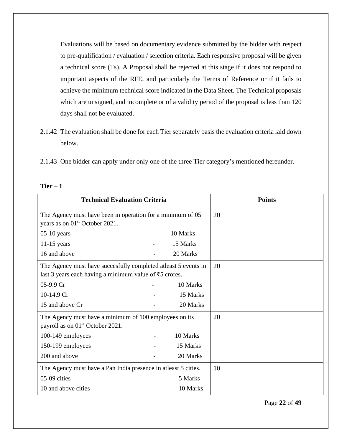Evaluations will be based on documentary evidence submitted by the bidder with respect to pre-qualification / evaluation / selection criteria. Each responsive proposal will be given a technical score (Ts). A Proposal shall be rejected at this stage if it does not respond to important aspects of the RFE, and particularly the Terms of Reference or if it fails to achieve the minimum technical score indicated in the Data Sheet. The Technical proposals which are unsigned, and incomplete or of a validity period of the proposal is less than 120 days shall not be evaluated.

- 2.1.42 The evaluation shall be done for each Tier separately basis the evaluation criteria laid down below.
- 2.1.43 One bidder can apply under only one of the three Tier category's mentioned hereunder.

| <b>Technical Evaluation Criteria</b>                                                                                                  |                                                            |          | <b>Points</b> |
|---------------------------------------------------------------------------------------------------------------------------------------|------------------------------------------------------------|----------|---------------|
| years as on 01 <sup>st</sup> October 2021.                                                                                            | The Agency must have been in operation for a minimum of 05 |          |               |
| $05-10$ years                                                                                                                         | $\blacksquare$                                             | 10 Marks |               |
| $11-15$ years                                                                                                                         |                                                            | 15 Marks |               |
| 16 and above                                                                                                                          |                                                            | 20 Marks |               |
| The Agency must have succesfully completed at least 5 events in<br>last 3 years each having a minimum value of $\overline{5}$ crores. |                                                            |          | 20            |
| 05-9.9 Cr                                                                                                                             |                                                            | 10 Marks |               |
| 10-14.9 Cr                                                                                                                            |                                                            | 15 Marks |               |
| 15 and above Cr                                                                                                                       |                                                            | 20 Marks |               |
| The Agency must have a minimum of 100 employees on its<br>payroll as on 01 <sup>st</sup> October 2021.                                |                                                            |          | 20            |
| 100-149 employees                                                                                                                     |                                                            | 10 Marks |               |
| 150-199 employees                                                                                                                     |                                                            | 15 Marks |               |
| 200 and above                                                                                                                         |                                                            | 20 Marks |               |
| The Agency must have a Pan India presence in at least 5 cities.                                                                       |                                                            | 10       |               |
| 05-09 cities                                                                                                                          |                                                            | 5 Marks  |               |
| 10 and above cities                                                                                                                   |                                                            | 10 Marks |               |

#### **Tier – 1**

Page **22** of **49**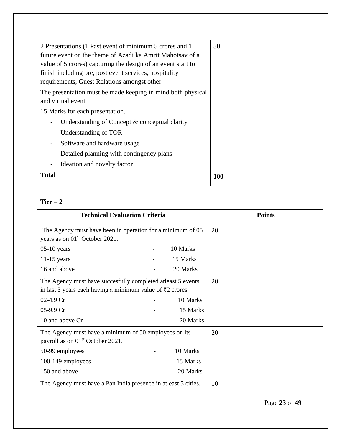| 2 Presentations (1 Past event of minimum 5 crores and 1      | 30  |
|--------------------------------------------------------------|-----|
|                                                              |     |
| future event on the theme of Azadi ka Amrit Mahotsay of a    |     |
| value of 5 crores) capturing the design of an event start to |     |
| finish including pre, post event services, hospitality       |     |
| requirements, Guest Relations amongst other.                 |     |
| The presentation must be made keeping in mind both physical  |     |
| and virtual event                                            |     |
| 15 Marks for each presentation.                              |     |
| Understanding of Concept $\&$ conceptual clarity             |     |
| Understanding of TOR                                         |     |
| Software and hardware usage                                  |     |
| Detailed planning with contingency plans                     |     |
| Ideation and novelty factor                                  |     |
| <b>Total</b>                                                 | 100 |

# **Tier – 2**

| <b>Technical Evaluation Criteria</b>                                                                                                   |  |          | <b>Points</b> |
|----------------------------------------------------------------------------------------------------------------------------------------|--|----------|---------------|
| The Agency must have been in operation for a minimum of 05<br>years as on 01 <sup>st</sup> October 2021.                               |  |          | 20            |
| $05-10$ years                                                                                                                          |  | 10 Marks |               |
| $11-15$ years                                                                                                                          |  | 15 Marks |               |
| 16 and above                                                                                                                           |  | 20 Marks |               |
| The Agency must have succesfully completed at least 5 events<br>in last 3 years each having a minimum value of $\overline{5}2$ crores. |  |          | 20            |
| $02-4.9 \text{ Cr}$                                                                                                                    |  | 10 Marks |               |
| 05-9.9 Cr                                                                                                                              |  | 15 Marks |               |
| 10 and above Cr                                                                                                                        |  | 20 Marks |               |
| The Agency must have a minimum of 50 employees on its<br>payroll as on 01 <sup>st</sup> October 2021.                                  |  |          | 20            |
| 50-99 employees                                                                                                                        |  | 10 Marks |               |
| 100-149 employees                                                                                                                      |  | 15 Marks |               |
| 150 and above                                                                                                                          |  | 20 Marks |               |
| The Agency must have a Pan India presence in atleast 5 cities.                                                                         |  | 10       |               |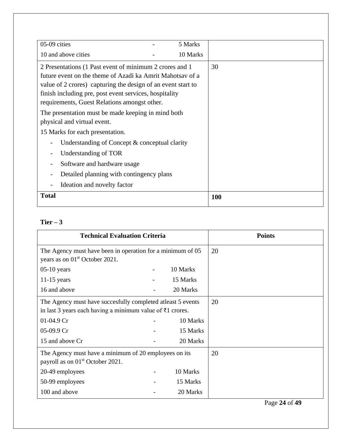| 05-09 cities<br>5 Marks                                      |     |  |
|--------------------------------------------------------------|-----|--|
|                                                              |     |  |
| 10 and above cities<br>10 Marks                              |     |  |
| 2 Presentations (1 Past event of minimum 2 crores and 1      | 30  |  |
| future event on the theme of Azadi ka Amrit Mahotsay of a    |     |  |
| value of 2 crores) capturing the design of an event start to |     |  |
| finish including pre, post event services, hospitality       |     |  |
| requirements, Guest Relations amongst other.                 |     |  |
| The presentation must be made keeping in mind both           |     |  |
| physical and virtual event.                                  |     |  |
| 15 Marks for each presentation.                              |     |  |
| Understanding of Concept $\&$ conceptual clarity             |     |  |
| Understanding of TOR                                         |     |  |
| Software and hardware usage                                  |     |  |
| Detailed planning with contingency plans                     |     |  |
| Ideation and novelty factor                                  |     |  |
| <b>Total</b>                                                 | 100 |  |

# $Tier-3$

| <b>Technical Evaluation Criteria</b>                                                                                                     |  |          | <b>Points</b> |
|------------------------------------------------------------------------------------------------------------------------------------------|--|----------|---------------|
| The Agency must have been in operation for a minimum of 05<br>years as on 01 <sup>st</sup> October 2021.                                 |  |          | 20            |
| $05-10$ years                                                                                                                            |  | 10 Marks |               |
| $11-15$ years                                                                                                                            |  | 15 Marks |               |
| 16 and above                                                                                                                             |  | 20 Marks |               |
| The Agency must have succesfully completed at least 5 events<br>in last 3 years each having a minimum value of $\overline{\xi}1$ crores. |  |          | 20            |
| $01-04.9$ Cr                                                                                                                             |  | 10 Marks |               |
| 05-09.9 Cr                                                                                                                               |  | 15 Marks |               |
| 15 and above Cr                                                                                                                          |  | 20 Marks |               |
| The Agency must have a minimum of 20 employees on its<br>payroll as on 01 <sup>st</sup> October 2021.                                    |  |          | 20            |
| 20-49 employees                                                                                                                          |  | 10 Marks |               |
| 50-99 employees                                                                                                                          |  | 15 Marks |               |
| 100 and above                                                                                                                            |  | 20 Marks |               |

Page **24** of **49**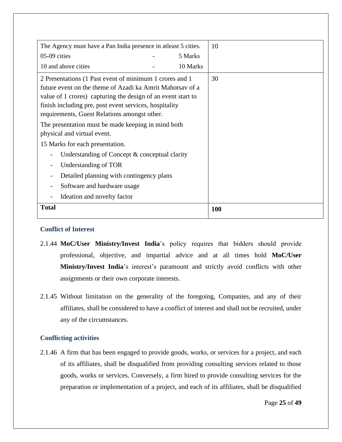| The Agency must have a Pan India presence in atleast 5 cities. | 10  |  |
|----------------------------------------------------------------|-----|--|
| 05-09 cities<br>5 Marks                                        |     |  |
| 10 and above cities<br>10 Marks                                |     |  |
| 2 Presentations (1 Past event of minimum 1 crores and 1        | 30  |  |
| future event on the theme of Azadi ka Amrit Mahotsay of a      |     |  |
| value of 1 crores) capturing the design of an event start to   |     |  |
| finish including pre, post event services, hospitality         |     |  |
| requirements, Guest Relations amongst other.                   |     |  |
| The presentation must be made keeping in mind both             |     |  |
| physical and virtual event.                                    |     |  |
| 15 Marks for each presentation.                                |     |  |
| Understanding of Concept $\&$ conceptual clarity               |     |  |
| Understanding of TOR                                           |     |  |
| Detailed planning with contingency plans                       |     |  |
| Software and hardware usage                                    |     |  |
| Ideation and novelty factor                                    |     |  |
| <b>Total</b>                                                   | 100 |  |

### <span id="page-24-0"></span>**Conflict of Interest**

- 2.1.44 **MoC/User Ministry/Invest India**'s policy requires that bidders should provide professional, objective, and impartial advice and at all times hold **MoC/User Ministry/Invest India**'s interest's paramount and strictly avoid conflicts with other assignments or their own corporate interests.
- 2.1.45 Without limitation on the generality of the foregoing, Companies, and any of their affiliates, shall be considered to have a conflict of interest and shall not be recruited, under any of the circumstances.

# <span id="page-24-1"></span>**Conflicting activities**

2.1.46 A firm that has been engaged to provide goods, works, or services for a project, and each of its affiliates, shall be disqualified from providing consulting services related to those goods, works or services. Conversely, a firm hired to provide consulting services for the preparation or implementation of a project, and each of its affiliates, shall be disqualified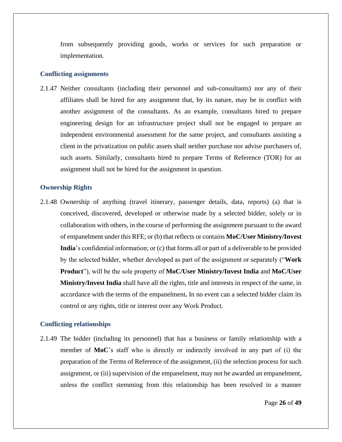from subsequently providing goods, works or services for such preparation or implementation.

#### <span id="page-25-0"></span>**Conflicting assignments**

2.1.47 Neither consultants (including their personnel and sub-consultants) nor any of their affiliates shall be hired for any assignment that, by its nature, may be in conflict with another assignment of the consultants. As an example, consultants hired to prepare engineering design for an infrastructure project shall not be engaged to prepare an independent environmental assessment for the same project, and consultants assisting a client in the privatization on public assets shall neither purchase nor advise purchasers of, such assets. Similarly, consultants hired to prepare Terms of Reference (TOR) for an assignment shall not be hired for the assignment in question.

#### <span id="page-25-1"></span>**Ownership Rights**

2.1.48 Ownership of anything (travel itinerary, passenger details, data, reports) (a) that is conceived, discovered, developed or otherwise made by a selected bidder, solely or in collaboration with others, in the course of performing the assignment pursuant to the award of empanelment under this RFE; or (b) that reflects or contains **MoC/User Ministry/Invest India**'s confidential information; or (c) that forms all or part of a deliverable to be provided by the selected bidder, whether developed as part of the assignment or separately ("**Work Product**"), will be the sole property of **MoC/User Ministry/Invest India** and **MoC/User Ministry/Invest India** shall have all the rights, title and interests in respect of the same, in accordance with the terms of the empanelment**.** In no event can a selected bidder claim its control or any rights, title or interest over any Work Product.

#### <span id="page-25-2"></span>**Conflicting relationships**

2.1.49 The bidder (including its personnel) that has a business or family relationship with a member of **MoC**'s staff who is directly or indirectly involved in any part of (i) the preparation of the Terms of Reference of the assignment, (ii) the selection process for such assignment, or (iii) supervision of the empanelment, may not be awarded an empanelment, unless the conflict stemming from this relationship has been resolved in a manner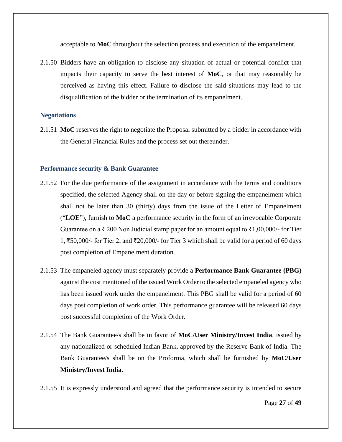acceptable to **MoC** throughout the selection process and execution of the empanelment.

2.1.50 Bidders have an obligation to disclose any situation of actual or potential conflict that impacts their capacity to serve the best interest of **MoC**, or that may reasonably be perceived as having this effect. Failure to disclose the said situations may lead to the disqualification of the bidder or the termination of its empanelment.

#### <span id="page-26-0"></span>**Negotiations**

2.1.51 **MoC** reserves the right to negotiate the Proposal submitted by a bidder in accordance with the General Financial Rules and the process set out thereunder.

#### <span id="page-26-1"></span>**Performance security & Bank Guarantee**

- 2.1.52 For the due performance of the assignment in accordance with the terms and conditions specified, the selected Agency shall on the day or before signing the empanelment which shall not be later than 30 (thirty) days from the issue of the Letter of Empanelment ("**LOE**"), furnish to **MoC** a performance security in the form of an irrevocable Corporate Guarantee on a ₹ 200 Non Judicial stamp paper for an amount equal to ₹1,00,000/- for Tier 1, ₹50,000/- for Tier 2, and ₹20,000/- for Tier 3 which shall be valid for a period of 60 days post completion of Empanelment duration.
- 2.1.53 The empaneled agency must separately provide a **Performance Bank Guarantee (PBG)** against the cost mentioned of the issued Work Order to the selected empaneled agency who has been issued work under the empanelment. This PBG shall be valid for a period of 60 days post completion of work order. This performance guarantee will be released 60 days post successful completion of the Work Order.
- 2.1.54 The Bank Guarantee/s shall be in favor of **MoC/User Ministry/Invest India**, issued by any nationalized or scheduled Indian Bank, approved by the Reserve Bank of India. The Bank Guarantee/s shall be on the Proforma, which shall be furnished by **MoC/User Ministry/Invest India**.
- 2.1.55 It is expressly understood and agreed that the performance security is intended to secure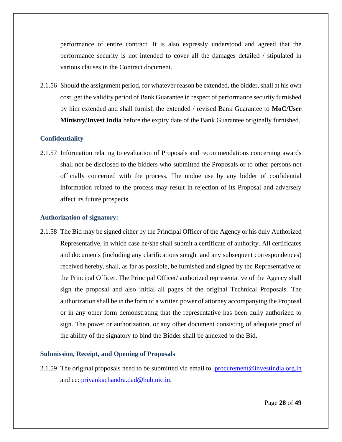performance of entire contract. It is also expressly understood and agreed that the performance security is not intended to cover all the damages detailed / stipulated in various clauses in the Contract document.

2.1.56 Should the assignment period, for whatever reason be extended, the bidder, shall at his own cost, get the validity period of Bank Guarantee in respect of performance security furnished by him extended and shall furnish the extended / revised Bank Guarantee to **MoC/User Ministry/Invest India** before the expiry date of the Bank Guarantee originally furnished.

#### <span id="page-27-0"></span>**Confidentiality**

2.1.57 Information relating to evaluation of Proposals and recommendations concerning awards shall not be disclosed to the bidders who submitted the Proposals or to other persons not officially concerned with the process. The undue use by any bidder of confidential information related to the process may result in rejection of its Proposal and adversely affect its future prospects.

#### <span id="page-27-1"></span>**Authorization of signatory:**

2.1.58 The Bid may be signed either by the Principal Officer of the Agency or his duly Authorized Representative, in which case he/she shall submit a certificate of authority. All certificates and documents (including any clarifications sought and any subsequent correspondences) received hereby, shall, as far as possible, be furnished and signed by the Representative or the Principal Officer. The Principal Officer/ authorized representative of the Agency shall sign the proposal and also initial all pages of the original Technical Proposals. The authorization shall be in the form of a written power of attorney accompanying the Proposal or in any other form demonstrating that the representative has been dully authorized to sign. The power or authorization, or any other document consisting of adequate proof of the ability of the signatory to bind the Bidder shall be annexed to the Bid.

#### <span id="page-27-2"></span>**Submission, Receipt, and Opening of Proposals**

2.1.59 The original proposals need to be submitted via email to [procurement@investindia.org.in](mailto:procurement@investindia.org.in) and cc: [priyankachandra.dad@hub.nic.in.](mailto:priyankachandra.dad@hub.nic.in)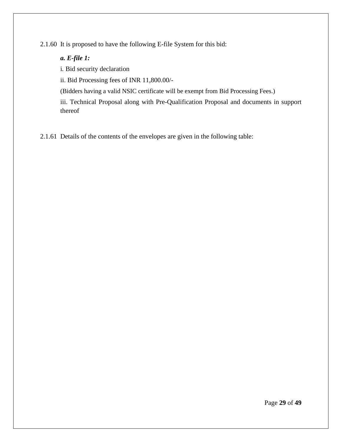2.1.60 It is proposed to have the following E-file System for this bid:

### *a. E-file 1:*

i*.* Bid security declaration

ii. Bid Processing fees of INR 11,800.00/-

(Bidders having a valid NSIC certificate will be exempt from Bid Processing Fees.)

iii. Technical Proposal along with Pre-Qualification Proposal and documents in support thereof

2.1.61 Details of the contents of the envelopes are given in the following table: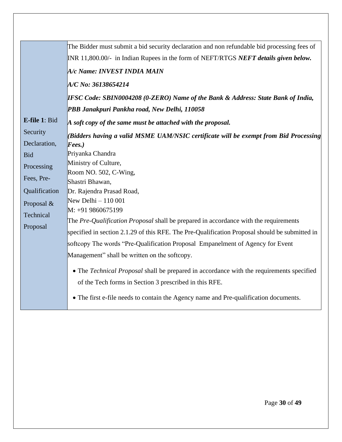|               | The Bidder must submit a bid security declaration and non refundable bid processing fees of    |
|---------------|------------------------------------------------------------------------------------------------|
|               | INR 11,800.00/- in Indian Rupees in the form of NEFT/RTGS NEFT details given below.            |
|               | A/c Name: INVEST INDIA MAIN                                                                    |
|               | A/C No: 36138654214                                                                            |
|               | <b>IFSC Code: SBIN0004208 (0-ZERO) Name of the Bank &amp; Address: State Bank of India,</b>    |
|               | PBB Janakpuri Pankha road, New Delhi, 110058                                                   |
| E-file 1: Bid | $A$ soft copy of the same must be attached with the proposal.                                  |
| Security      | (Bidders having a valid MSME UAM/NSIC certificate will be exempt from Bid Processing           |
| Declaration,  | Fees.)                                                                                         |
| <b>Bid</b>    | Priyanka Chandra                                                                               |
| Processing    | Ministry of Culture,                                                                           |
| Fees, Pre-    | Room NO. 502, C-Wing,                                                                          |
|               | Shastri Bhawan,                                                                                |
| Qualification | Dr. Rajendra Prasad Road,                                                                      |
| Proposal &    | New Delhi - 110 001                                                                            |
| Technical     | M: +91 9860675199                                                                              |
| Proposal      | The Pre-Qualification Proposal shall be prepared in accordance with the requirements           |
|               | specified in section 2.1.29 of this RFE. The Pre-Qualification Proposal should be submitted in |
|               | softcopy The words "Pre-Qualification Proposal Empanelment of Agency for Event                 |
|               | Management" shall be written on the softcopy.                                                  |
|               | • The Technical Proposal shall be prepared in accordance with the requirements specified       |
|               | of the Tech forms in Section 3 prescribed in this RFE.                                         |
|               |                                                                                                |
|               | • The first e-file needs to contain the Agency name and Pre-qualification documents.           |
|               |                                                                                                |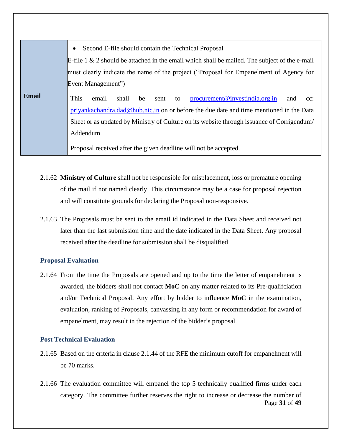|              | Second E-file should contain the Technical Proposal<br>$\bullet$                                                                                                                                                                                                                                  |  |  |
|--------------|---------------------------------------------------------------------------------------------------------------------------------------------------------------------------------------------------------------------------------------------------------------------------------------------------|--|--|
|              | E-file 1 & 2 should be attached in the email which shall be mailed. The subject of the e-mail                                                                                                                                                                                                     |  |  |
|              | must clearly indicate the name of the project ("Proposal for Empanelment of Agency for                                                                                                                                                                                                            |  |  |
|              | Event Management")                                                                                                                                                                                                                                                                                |  |  |
| <b>Email</b> | This<br>procurrent@investindia.org.in<br>email<br>shall<br>be<br>sent<br>to<br>and<br>$cc$ :<br>priyankachandra.dad@hub.nic.in on or before the due date and time mentioned in the Data<br>Sheet or as updated by Ministry of Culture on its website through issuance of Corrigendum<br>Addendum. |  |  |
|              | Proposal received after the given deadline will not be accepted.                                                                                                                                                                                                                                  |  |  |

- 2.1.62 **Ministry of Culture** shall not be responsible for misplacement, loss or premature opening of the mail if not named clearly. This circumstance may be a case for proposal rejection and will constitute grounds for declaring the Proposal non-responsive.
- 2.1.63 The Proposals must be sent to the email id indicated in the Data Sheet and received not later than the last submission time and the date indicated in the Data Sheet. Any proposal received after the deadline for submission shall be disqualified.

#### <span id="page-30-0"></span>**Proposal Evaluation**

2.1.64 From the time the Proposals are opened and up to the time the letter of empanelment is awarded, the bidders shall not contact **MoC** on any matter related to its Pre-qualifciation and/or Technical Proposal. Any effort by bidder to influence **MoC** in the examination, evaluation, ranking of Proposals, canvassing in any form or recommendation for award of empanelment, may result in the rejection of the bidder's proposal.

#### <span id="page-30-1"></span>**Post Technical Evaluation**

- 2.1.65 Based on the criteria in clause 2.1.44 of the RFE the minimum cutoff for empanelment will be 70 marks.
- Page **31** of **49** 2.1.66 The evaluation committee will empanel the top 5 technically qualified firms under each category. The committee further reserves the right to increase or decrease the number of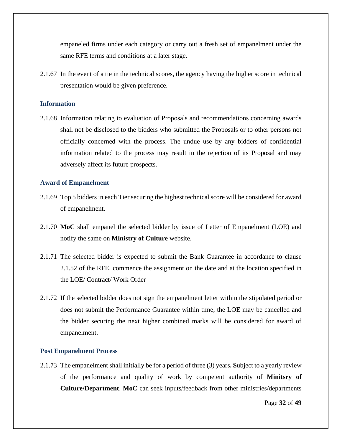empaneled firms under each category or carry out a fresh set of empanelment under the same RFE terms and conditions at a later stage.

2.1.67 In the event of a tie in the technical scores, the agency having the higher score in technical presentation would be given preference.

#### <span id="page-31-0"></span>**Information**

2.1.68 Information relating to evaluation of Proposals and recommendations concerning awards shall not be disclosed to the bidders who submitted the Proposals or to other persons not officially concerned with the process. The undue use by any bidders of confidential information related to the process may result in the rejection of its Proposal and may adversely affect its future prospects.

#### <span id="page-31-1"></span>**Award of Empanelment**

- 2.1.69 Top 5 bidders in each Tier securing the highest technical score will be considered for award of empanelment.
- 2.1.70 **MoC** shall empanel the selected bidder by issue of Letter of Empanelment (LOE) and notify the same on **Ministry of Culture** website.
- 2.1.71 The selected bidder is expected to submit the Bank Guarantee in accordance to clause 2.1.52 of the RFE. commence the assignment on the date and at the location specified in the LOE/ Contract/ Work Order
- 2.1.72 If the selected bidder does not sign the empanelment letter within the stipulated period or does not submit the Performance Guarantee within time, the LOE may be cancelled and the bidder securing the next higher combined marks will be considered for award of empanelment.

#### <span id="page-31-2"></span>**Post Empanelment Process**

2.1.73 The empanelment shall initially be for a period of three (3) years**. S**ubject to a yearly review of the performance and quality of work by competent authority of **Minitsry of Culture/Department**. **MoC** can seek inputs/feedback from other ministries/departments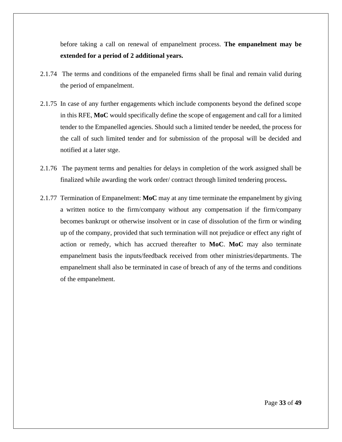before taking a call on renewal of empanelment process. **The empanelment may be extended for a period of 2 additional years.**

- 2.1.74 The terms and conditions of the empaneled firms shall be final and remain valid during the period of empanelment.
- 2.1.75 In case of any further engagements which include components beyond the defined scope in this RFE, **MoC** would specifically define the scope of engagement and call for a limited tender to the Empanelled agencies. Should such a limited tender be needed, the process for the call of such limited tender and for submission of the proposal will be decided and notified at a later stge.
- 2.1.76 The payment terms and penalties for delays in completion of the work assigned shall be finalized while awarding the work order/ contract through limited tendering process**.**
- 2.1.77 Termination of Empanelment: **MoC** may at any time terminate the empanelment by giving a written notice to the firm/company without any compensation if the firm/company becomes bankrupt or otherwise insolvent or in case of dissolution of the firm or winding up of the company, provided that such termination will not prejudice or effect any right of action or remedy, which has accrued thereafter to **MoC**. **MoC** may also terminate empanelment basis the inputs/feedback received from other ministries/departments. The empanelment shall also be terminated in case of breach of any of the terms and conditions of the empanelment.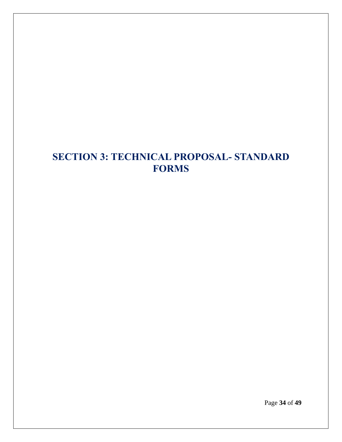# <span id="page-33-0"></span>**SECTION 3: TECHNICAL PROPOSAL- STANDARD FORMS**

Page **34** of **49**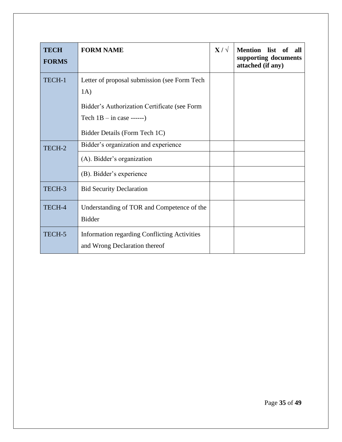| <b>TECH</b><br><b>FORMS</b> | <b>FORM NAME</b>                                                                                                                                                    | $X/\sqrt{ }$ | <b>Mention</b> list<br>of<br>all<br>supporting documents<br>attached (if any) |
|-----------------------------|---------------------------------------------------------------------------------------------------------------------------------------------------------------------|--------------|-------------------------------------------------------------------------------|
| TECH-1                      | Letter of proposal submission (see Form Tech<br>1A)<br>Bidder's Authorization Certificate (see Form<br>Tech $1B - in case$ ------)<br>Bidder Details (Form Tech 1C) |              |                                                                               |
| TECH-2                      | Bidder's organization and experience<br>(A). Bidder's organization<br>(B). Bidder's experience                                                                      |              |                                                                               |
| TECH-3                      | <b>Bid Security Declaration</b>                                                                                                                                     |              |                                                                               |
| TECH-4                      | Understanding of TOR and Competence of the<br><b>Bidder</b>                                                                                                         |              |                                                                               |
| TECH-5                      | <b>Information regarding Conflicting Activities</b><br>and Wrong Declaration thereof                                                                                |              |                                                                               |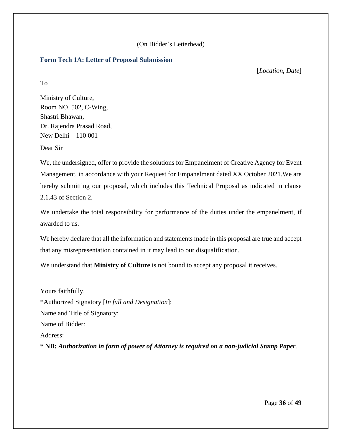## (On Bidder's Letterhead)

#### <span id="page-35-0"></span>**Form Tech 1A: Letter of Proposal Submission**

[*Location, Date*]

To

Ministry of Culture, Room NO. 502, C-Wing, Shastri Bhawan, Dr. Rajendra Prasad Road, New Delhi – 110 001

Dear Sir

We, the undersigned, offer to provide the solutions for Empanelment of Creative Agency for Event Management, in accordance with your Request for Empanelment dated XX October 2021.We are hereby submitting our proposal, which includes this Technical Proposal as indicated in clause 2.1.43 of Section 2.

We undertake the total responsibility for performance of the duties under the empanelment, if awarded to us.

We hereby declare that all the information and statements made in this proposal are true and accept that any misrepresentation contained in it may lead to our disqualification.

We understand that **Ministry of Culture** is not bound to accept any proposal it receives.

Yours faithfully, \*Authorized Signatory [*In full and Designation*]: Name and Title of Signatory: Name of Bidder: Address: \* **NB:** *Authorization in form of power of Attorney is required on a non-judicial Stamp Paper.*

Page **36** of **49**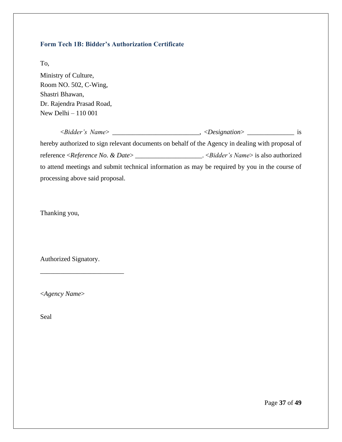# <span id="page-36-0"></span>**Form Tech 1B: Bidder's Authorization Certificate**

To,

Ministry of Culture, Room NO. 502, C-Wing, Shastri Bhawan, Dr. Rajendra Prasad Road, New Delhi – 110 001

|                                                       | $\Box$ , <designation> <math>\Box</math></designation>                                           | 1S |
|-------------------------------------------------------|--------------------------------------------------------------------------------------------------|----|
|                                                       | hereby authorized to sign relevant documents on behalf of the Agency in dealing with proposal of |    |
| reference <reference &="" date="" no.=""></reference> | . < <i>Bidder's Name</i> > is also authorized                                                    |    |
|                                                       | to attend meetings and submit technical information as may be required by you in the course of   |    |
| processing above said proposal.                       |                                                                                                  |    |

Thanking you,

Authorized Signatory.

\_\_\_\_\_\_\_\_\_\_\_\_\_\_\_\_\_\_\_\_\_\_\_\_\_

<*Agency Name*>

Seal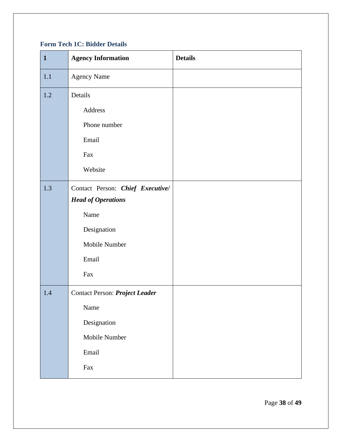# <span id="page-37-0"></span>**Form Tech 1C: Bidder Details**

| $\mathbf{1}$ | <b>Agency Information</b>                                                                                                | <b>Details</b> |
|--------------|--------------------------------------------------------------------------------------------------------------------------|----------------|
| 1.1          | <b>Agency Name</b>                                                                                                       |                |
| 1.2          | Details                                                                                                                  |                |
|              | Address                                                                                                                  |                |
|              | Phone number                                                                                                             |                |
|              | Email                                                                                                                    |                |
|              | Fax                                                                                                                      |                |
|              | Website                                                                                                                  |                |
| 1.3          | Contact Person: Chief Executive/                                                                                         |                |
|              | <b>Head of Operations</b>                                                                                                |                |
|              | Name                                                                                                                     |                |
|              | Designation                                                                                                              |                |
|              | Mobile Number                                                                                                            |                |
|              | Email                                                                                                                    |                |
|              | Fax                                                                                                                      |                |
| 1.4          | Contact Person: Project Leader                                                                                           |                |
|              | Name                                                                                                                     |                |
|              | Designation                                                                                                              |                |
|              | Mobile Number                                                                                                            |                |
|              | Email                                                                                                                    |                |
|              | $\operatorname*{Fax}% \nolimits_{\mathbb{Z}}\left( X\right) =\operatorname*{Fax}% \nolimits_{\mathbb{Z}}\left( X\right)$ |                |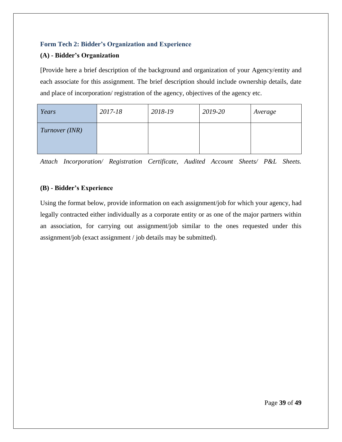# <span id="page-38-0"></span>**Form Tech 2: Bidder's Organization and Experience**

## **(A) - Bidder's Organization**

[Provide here a brief description of the background and organization of your Agency/entity and each associate for this assignment. The brief description should include ownership details, date and place of incorporation/ registration of the agency, objectives of the agency etc.

| Years          | 2017-18 | 2018-19 | 2019-20 | Average |
|----------------|---------|---------|---------|---------|
| Turnover (INR) |         |         |         |         |

*Attach Incorporation/ Registration Certificate, Audited Account Sheets/ P&L Sheets.*

## **(B) - Bidder's Experience**

Using the format below, provide information on each assignment/job for which your agency, had legally contracted either individually as a corporate entity or as one of the major partners within an association, for carrying out assignment/job similar to the ones requested under this assignment/job (exact assignment / job details may be submitted).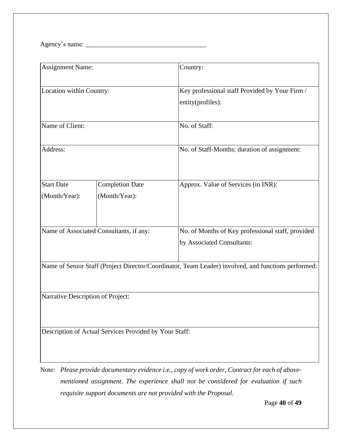Agency's name: \_\_\_\_\_\_\_\_\_\_\_\_\_\_\_\_\_\_\_\_\_\_\_\_\_\_\_\_\_\_\_\_\_\_\_\_

| <b>Assignment Name:</b>                                                                             |                                         | Country:                                                                        |  |  |
|-----------------------------------------------------------------------------------------------------|-----------------------------------------|---------------------------------------------------------------------------------|--|--|
| Location within Country:                                                                            |                                         | Key professional staff Provided by Your Firm /<br>entity(profiles):             |  |  |
| Name of Client:                                                                                     |                                         | No. of Staff:                                                                   |  |  |
| Address:                                                                                            |                                         | No. of Staff-Months; duration of assignment:                                    |  |  |
| <b>Start Date</b><br>(Month/Year):                                                                  | <b>Completion Date</b><br>(Month/Year): | Approx. Value of Services (in INR):                                             |  |  |
| Name of Associated Consultants, if any:                                                             |                                         | No. of Months of Key professional staff, provided<br>by Associated Consultants: |  |  |
| Name of Senior Staff (Project Director/Coordinator, Team Leader) involved, and functions performed: |                                         |                                                                                 |  |  |
| Narrative Description of Project:                                                                   |                                         |                                                                                 |  |  |
| Description of Actual Services Provided by Your Staff:                                              |                                         |                                                                                 |  |  |

Note: *Please provide documentary evidence i.e., copy of work order, Contract for each of abovementioned assignment. The experience shall not be considered for evaluation if such requisite support documents are not provided with the Proposal.*

Page **40** of **49**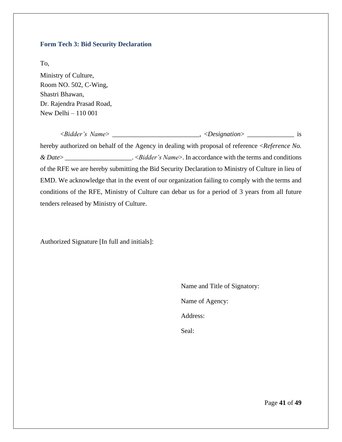#### <span id="page-40-0"></span>**Form Tech 3: Bid Security Declaration**

To,

Ministry of Culture, Room NO. 502, C-Wing, Shastri Bhawan, Dr. Rajendra Prasad Road, New Delhi – 110 001

<*Bidder's Name*> \_\_\_\_\_\_\_\_\_\_\_\_\_\_\_\_\_\_\_\_\_\_\_\_\_\_, <*Designation*> \_\_\_\_\_\_\_\_\_\_\_\_\_\_ is hereby authorized on behalf of the Agency in dealing with proposal of reference <*Reference No. & Date*> \_\_\_\_\_\_\_\_\_\_\_\_\_\_\_\_\_\_\_\_. <*Bidder's Name*>. In accordance with the terms and conditions of the RFE we are hereby submitting the Bid Security Declaration to Ministry of Culture in lieu of EMD. We acknowledge that in the event of our organization failing to comply with the terms and conditions of the RFE, Ministry of Culture can debar us for a period of 3 years from all future tenders released by Ministry of Culture.

Authorized Signature [In full and initials]:

Name and Title of Signatory: Name of Agency: Address: Seal:

Page **41** of **49**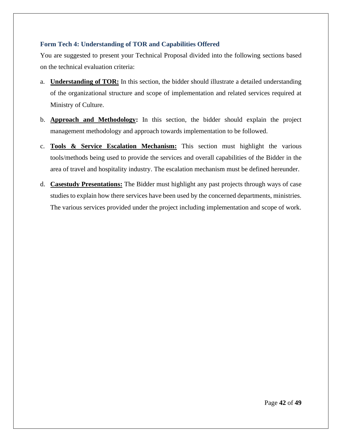## <span id="page-41-0"></span>**Form Tech 4: Understanding of TOR and Capabilities Offered**

You are suggested to present your Technical Proposal divided into the following sections based on the technical evaluation criteria:

- a. **Understanding of TOR:** In this section, the bidder should illustrate a detailed understanding of the organizational structure and scope of implementation and related services required at Ministry of Culture.
- b. **Approach and Methodology:** In this section, the bidder should explain the project management methodology and approach towards implementation to be followed.
- c. **Tools & Service Escalation Mechanism:** This section must highlight the various tools/methods being used to provide the services and overall capabilities of the Bidder in the area of travel and hospitality industry. The escalation mechanism must be defined hereunder.
- d. **Casestudy Presentations:** The Bidder must highlight any past projects through ways of case studies to explain how there services have been used by the concerned departments, ministries. The various services provided under the project including implementation and scope of work.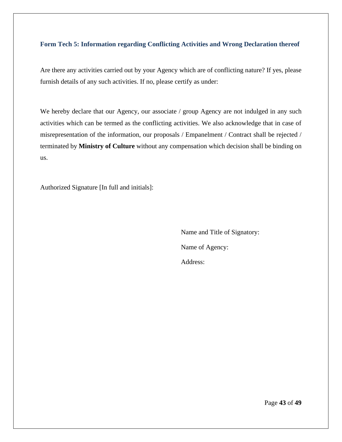#### <span id="page-42-0"></span>**Form Tech 5: Information regarding Conflicting Activities and Wrong Declaration thereof**

Are there any activities carried out by your Agency which are of conflicting nature? If yes, please furnish details of any such activities. If no, please certify as under:

We hereby declare that our Agency, our associate / group Agency are not indulged in any such activities which can be termed as the conflicting activities. We also acknowledge that in case of misrepresentation of the information, our proposals / Empanelment / Contract shall be rejected / terminated by **Ministry of Culture** without any compensation which decision shall be binding on us.

Authorized Signature [In full and initials]:

Name and Title of Signatory: Name of Agency: Address:

Page **43** of **49**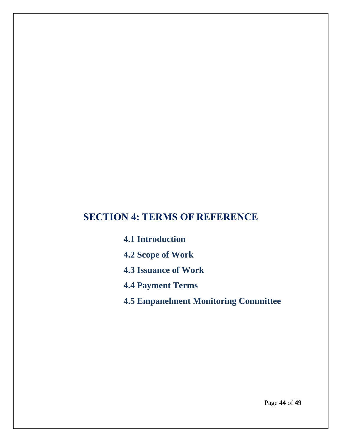# <span id="page-43-0"></span>**SECTION 4: TERMS OF REFERENCE**

**4.1 Introduction**

- **4.2 Scope of Work**
- **4.3 Issuance of Work**
- **4.4 Payment Terms**
- **4.5 Empanelment Monitoring Committee**

Page **44** of **49**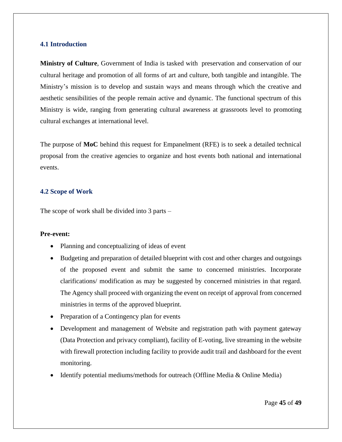#### <span id="page-44-0"></span>**4.1 Introduction**

**Ministry of Culture**, Government of India is tasked with preservation and conservation of our cultural heritage and promotion of all forms of art and culture, both tangible and intangible. The Ministry's mission is to develop and sustain ways and means through which the creative and aesthetic sensibilities of the people remain active and dynamic. The functional spectrum of this Ministry is wide, ranging from generating cultural awareness at grassroots level to promoting cultural exchanges at international level.

The purpose of **MoC** behind this request for Empanelment (RFE) is to seek a detailed technical proposal from the creative agencies to organize and host events both national and international events.

#### <span id="page-44-1"></span>**4.2 Scope of Work**

The scope of work shall be divided into 3 parts –

#### **Pre-event:**

- Planning and conceptualizing of ideas of event
- Budgeting and preparation of detailed blueprint with cost and other charges and outgoings of the proposed event and submit the same to concerned ministries. Incorporate clarifications/ modification as may be suggested by concerned ministries in that regard. The Agency shall proceed with organizing the event on receipt of approval from concerned ministries in terms of the approved blueprint.
- Preparation of a Contingency plan for events
- Development and management of Website and registration path with payment gateway (Data Protection and privacy compliant), facility of E-voting, live streaming in the website with firewall protection including facility to provide audit trail and dashboard for the event monitoring.
- Identify potential mediums/methods for outreach (Offline Media & Online Media)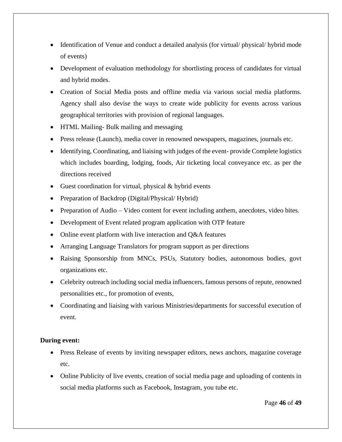- Identification of Venue and conduct a detailed analysis (for virtual/ physical/ hybrid mode of events)
- Development of evaluation methodology for shortlisting process of candidates for virtual and hybrid modes.
- Creation of Social Media posts and offline media via various social media platforms. Agency shall also devise the ways to create wide publicity for events across various geographical territories with provision of regional languages.
- HTML Mailing- Bulk mailing and messaging
- Press release (Launch), media cover in renowned newspapers, magazines, journals etc.
- Identifying, Coordinating, and liaising with judges of the event-provide Complete logistics which includes boarding, lodging, foods, Air ticketing local conveyance etc. as per the directions received
- Guest coordination for virtual, physical  $&$  hybrid events
- Preparation of Backdrop (Digital/Physical/ Hybrid)
- Preparation of Audio Video content for event including anthem, anecdotes, video bites.
- Development of Event related program application with OTP feature
- Online event platform with live interaction and Q&A features
- Arranging Language Translators for program support as per directions
- Raising Sponsorship from MNCs, PSUs, Statutory bodies, autonomous bodies, govt organizations etc.
- Celebrity outreach including social media influencers, famous persons of repute, renowned personalities etc., for promotion of events,
- Coordinating and liaising with various Ministries/departments for successful execution of event.

# **During event:**

- Press Release of events by inviting newspaper editors, news anchors, magazine coverage etc.
- Online Publicity of live events, creation of social media page and uploading of contents in social media platforms such as Facebook, Instagram, you tube etc.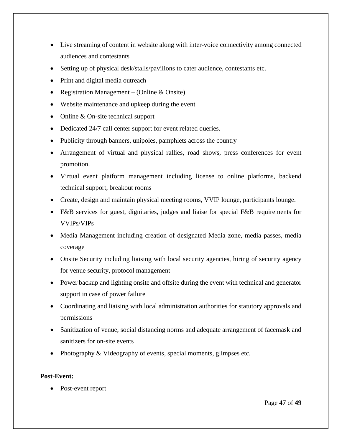- Live streaming of content in website along with inter-voice connectivity among connected audiences and contestants
- Setting up of physical desk/stalls/pavilions to cater audience, contestants etc.
- Print and digital media outreach
- Registration Management (Online & Onsite)
- Website maintenance and upkeep during the event
- Online & On-site technical support
- Dedicated 24/7 call center support for event related queries.
- Publicity through banners, unipoles, pamphlets across the country
- Arrangement of virtual and physical rallies, road shows, press conferences for event promotion.
- Virtual event platform management including license to online platforms, backend technical support, breakout rooms
- Create, design and maintain physical meeting rooms, VVIP lounge, participants lounge.
- F&B services for guest, dignitaries, judges and liaise for special F&B requirements for VVIPs/VIPs
- Media Management including creation of designated Media zone, media passes, media coverage
- Onsite Security including liaising with local security agencies, hiring of security agency for venue security, protocol management
- Power backup and lighting onsite and offsite during the event with technical and generator support in case of power failure
- Coordinating and liaising with local administration authorities for statutory approvals and permissions
- Sanitization of venue, social distancing norms and adequate arrangement of facemask and sanitizers for on-site events
- Photography & Videography of events, special moments, glimpses etc.

# **Post-Event:**

Post-event report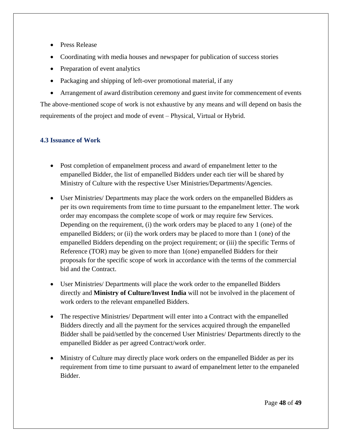- Press Release
- Coordinating with media houses and newspaper for publication of success stories
- Preparation of event analytics
- Packaging and shipping of left-over promotional material, if any
- Arrangement of award distribution ceremony and guest invite for commencement of events The above-mentioned scope of work is not exhaustive by any means and will depend on basis the requirements of the project and mode of event – Physical, Virtual or Hybrid.

# <span id="page-47-0"></span>**4.3 Issuance of Work**

- Post completion of empanelment process and award of empanelment letter to the empanelled Bidder, the list of empanelled Bidders under each tier will be shared by Ministry of Culture with the respective User Ministries/Departments/Agencies.
- User Ministries/ Departments may place the work orders on the empanelled Bidders as per its own requirements from time to time pursuant to the empanelment letter. The work order may encompass the complete scope of work or may require few Services. Depending on the requirement, (i) the work orders may be placed to any 1 (one) of the empanelled Bidders; or (ii) the work orders may be placed to more than 1 (one) of the empanelled Bidders depending on the project requirement; or (iii) the specific Terms of Reference (TOR) may be given to more than 1(one) empanelled Bidders for their proposals for the specific scope of work in accordance with the terms of the commercial bid and the Contract.
- User Ministries/ Departments will place the work order to the empanelled Bidders directly and **Ministry of Culture/Invest India** will not be involved in the placement of work orders to the relevant empanelled Bidders.
- The respective Ministries/Department will enter into a Contract with the empanelled Bidders directly and all the payment for the services acquired through the empanelled Bidder shall be paid/settled by the concerned User Ministries/ Departments directly to the empanelled Bidder as per agreed Contract/work order.
- Ministry of Culture may directly place work orders on the empanelled Bidder as per its requirement from time to time pursuant to award of empanelment letter to the empaneled Bidder.